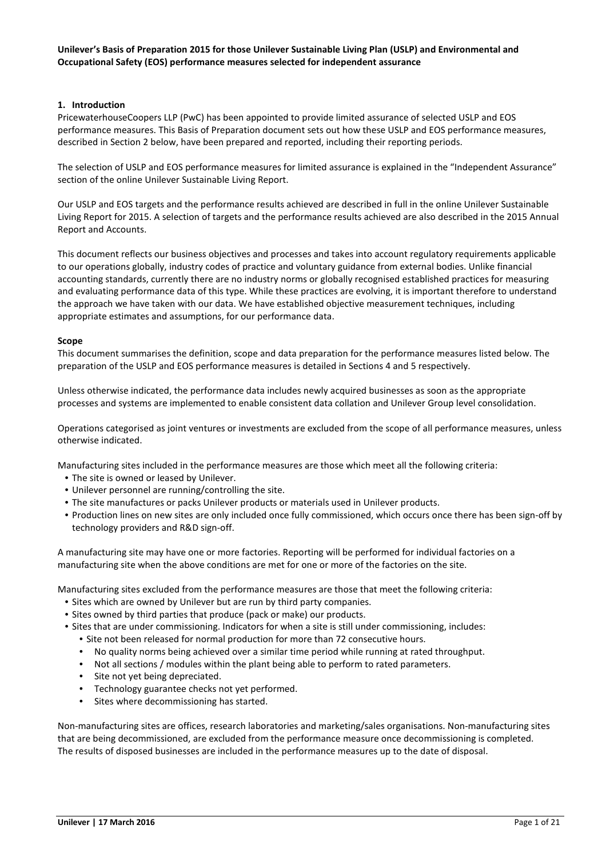# **Unilever's Basis of Preparation 2015 for those Unilever Sustainable Living Plan (USLP) and Environmental and Occupational Safety (EOS) performance measures selected for independent assurance**

# **1. Introduction**

PricewaterhouseCoopers LLP (PwC) has been appointed to provide limited assurance of selected USLP and EOS performance measures. This Basis of Preparation document sets out how these USLP and EOS performance measures, described in Section 2 below, have been prepared and reported, including their reporting periods.

The selection of USLP and EOS performance measures for limited assurance is explained in the "Independent Assurance" section of the online Unilever Sustainable Living Report.

Our USLP and EOS targets and the performance results achieved are described in full in the online Unilever Sustainable Living Report for 2015. A selection of targets and the performance results achieved are also described in the 2015 Annual Report and Accounts.

This document reflects our business objectives and processes and takes into account regulatory requirements applicable to our operations globally, industry codes of practice and voluntary guidance from external bodies. Unlike financial accounting standards, currently there are no industry norms or globally recognised established practices for measuring and evaluating performance data of this type. While these practices are evolving, it is important therefore to understand the approach we have taken with our data. We have established objective measurement techniques, including appropriate estimates and assumptions, for our performance data.

# **Scope**

This document summarises the definition, scope and data preparation for the performance measures listed below. The preparation of the USLP and EOS performance measures is detailed in Sections 4 and 5 respectively.

Unless otherwise indicated, the performance data includes newly acquired businesses as soon as the appropriate processes and systems are implemented to enable consistent data collation and Unilever Group level consolidation.

Operations categorised as joint ventures or investments are excluded from the scope of all performance measures, unless otherwise indicated.

Manufacturing sites included in the performance measures are those which meet all the following criteria:

- The site is owned or leased by Unilever.
- Unilever personnel are running/controlling the site.
- The site manufactures or packs Unilever products or materials used in Unilever products.
- Production lines on new sites are only included once fully commissioned, which occurs once there has been sign-off by technology providers and R&D sign-off.

A manufacturing site may have one or more factories. Reporting will be performed for individual factories on a manufacturing site when the above conditions are met for one or more of the factories on the site.

Manufacturing sites excluded from the performance measures are those that meet the following criteria:

- Sites which are owned by Unilever but are run by third party companies.
- Sites owned by third parties that produce (pack or make) our products.
- Sites that are under commissioning. Indicators for when a site is still under commissioning, includes:
	- Site not been released for normal production for more than 72 consecutive hours.
	- No quality norms being achieved over a similar time period while running at rated throughput.
	- Not all sections / modules within the plant being able to perform to rated parameters.
	- Site not yet being depreciated.
	- Technology guarantee checks not yet performed.
	- Sites where decommissioning has started.

Non-manufacturing sites are offices, research laboratories and marketing/sales organisations. Non-manufacturing sites that are being decommissioned, are excluded from the performance measure once decommissioning is completed. The results of disposed businesses are included in the performance measures up to the date of disposal.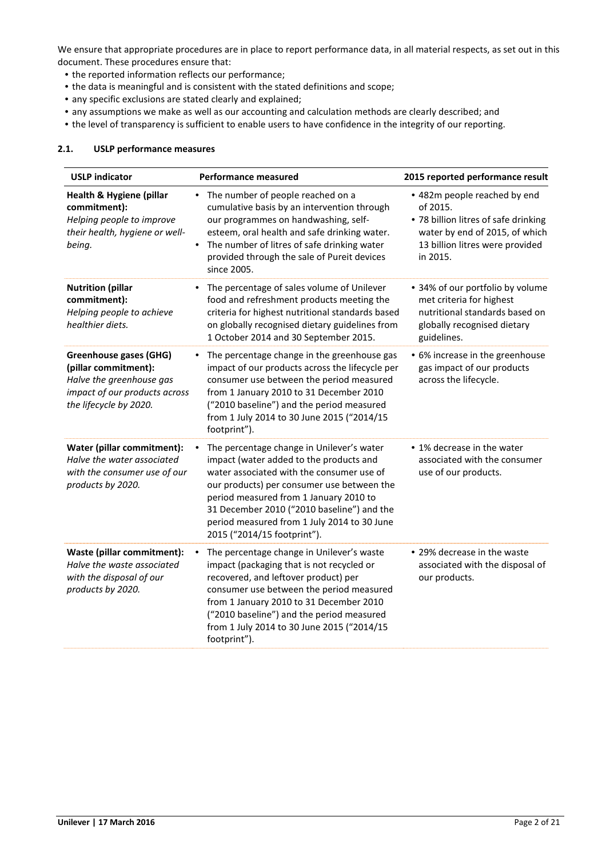We ensure that appropriate procedures are in place to report performance data, in all material respects, as set out in this document. These procedures ensure that:

- the reported information reflects our performance;
- the data is meaningful and is consistent with the stated definitions and scope;
- any specific exclusions are stated clearly and explained;
- any assumptions we make as well as our accounting and calculation methods are clearly described; and
- the level of transparency is sufficient to enable users to have confidence in the integrity of our reporting.

#### **2.1. USLP performance measures**

| <b>USLP indicator</b>                                                                                                                        | <b>Performance measured</b>                                                                                                                                                                                                                                                                                                                                | 2015 reported performance result                                                                                                                                  |
|----------------------------------------------------------------------------------------------------------------------------------------------|------------------------------------------------------------------------------------------------------------------------------------------------------------------------------------------------------------------------------------------------------------------------------------------------------------------------------------------------------------|-------------------------------------------------------------------------------------------------------------------------------------------------------------------|
| <b>Health &amp; Hygiene (pillar</b><br>commitment):<br>Helping people to improve<br>their health, hygiene or well-<br>being.                 | • The number of people reached on a<br>cumulative basis by an intervention through<br>our programmes on handwashing, self-<br>esteem, oral health and safe drinking water.<br>The number of litres of safe drinking water<br>$\bullet$<br>provided through the sale of Pureit devices<br>since 2005.                                                       | • 482m people reached by end<br>of 2015.<br>• 78 billion litres of safe drinking<br>water by end of 2015, of which<br>13 billion litres were provided<br>in 2015. |
| <b>Nutrition (pillar</b><br>commitment):<br>Helping people to achieve<br>healthier diets.                                                    | The percentage of sales volume of Unilever<br>food and refreshment products meeting the<br>criteria for highest nutritional standards based<br>on globally recognised dietary guidelines from<br>1 October 2014 and 30 September 2015.                                                                                                                     | • 34% of our portfolio by volume<br>met criteria for highest<br>nutritional standards based on<br>globally recognised dietary<br>guidelines.                      |
| <b>Greenhouse gases (GHG)</b><br>(pillar commitment):<br>Halve the greenhouse gas<br>impact of our products across<br>the lifecycle by 2020. | The percentage change in the greenhouse gas<br>$\bullet$<br>impact of our products across the lifecycle per<br>consumer use between the period measured<br>from 1 January 2010 to 31 December 2010<br>("2010 baseline") and the period measured<br>from 1 July 2014 to 30 June 2015 ("2014/15<br>footprint").                                              | • 6% increase in the greenhouse<br>gas impact of our products<br>across the lifecycle.                                                                            |
| Water (pillar commitment):<br>Halve the water associated<br>with the consumer use of our<br>products by 2020.                                | The percentage change in Unilever's water<br>٠<br>impact (water added to the products and<br>water associated with the consumer use of<br>our products) per consumer use between the<br>period measured from 1 January 2010 to<br>31 December 2010 ("2010 baseline") and the<br>period measured from 1 July 2014 to 30 June<br>2015 ("2014/15 footprint"). | • 1% decrease in the water<br>associated with the consumer<br>use of our products.                                                                                |
| Waste (pillar commitment):<br>Halve the waste associated<br>with the disposal of our<br>products by 2020.                                    | The percentage change in Unilever's waste<br>$\bullet$<br>impact (packaging that is not recycled or<br>recovered, and leftover product) per<br>consumer use between the period measured<br>from 1 January 2010 to 31 December 2010<br>("2010 baseline") and the period measured<br>from 1 July 2014 to 30 June 2015 ("2014/15<br>footprint").              | • 29% decrease in the waste<br>associated with the disposal of<br>our products.                                                                                   |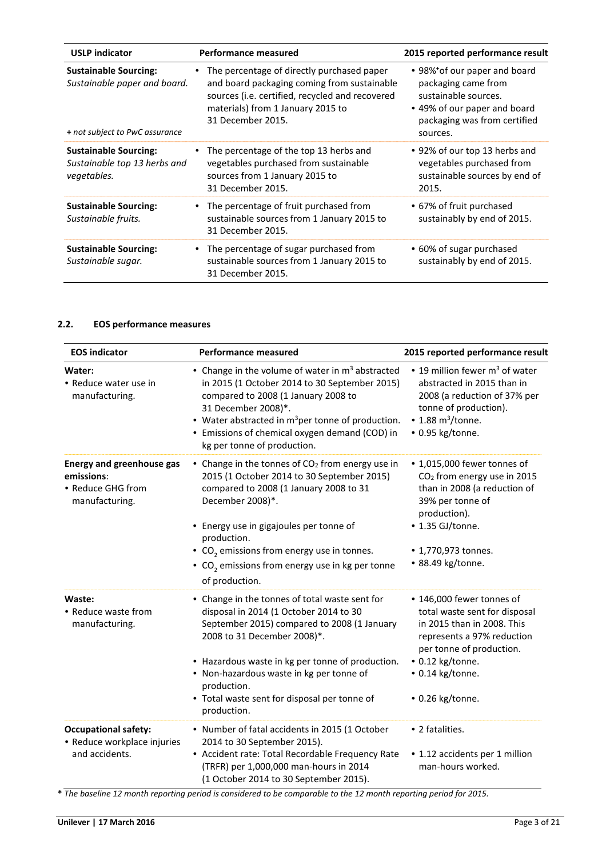| <b>USLP indicator</b>                                                                          | Performance measured                                                                                                                                                                                   | 2015 reported performance result                                                                                                                        |
|------------------------------------------------------------------------------------------------|--------------------------------------------------------------------------------------------------------------------------------------------------------------------------------------------------------|---------------------------------------------------------------------------------------------------------------------------------------------------------|
| <b>Sustainable Sourcing:</b><br>Sustainable paper and board.<br>+ not subject to PwC assurance | The percentage of directly purchased paper<br>and board packaging coming from sustainable<br>sources (i.e. certified, recycled and recovered<br>materials) from 1 January 2015 to<br>31 December 2015. | • 98% of our paper and board<br>packaging came from<br>sustainable sources.<br>• 49% of our paper and board<br>packaging was from certified<br>sources. |
| <b>Sustainable Sourcing:</b><br>Sustainable top 13 herbs and<br>vegetables.                    | The percentage of the top 13 herbs and<br>vegetables purchased from sustainable<br>sources from 1 January 2015 to<br>31 December 2015.                                                                 | • 92% of our top 13 herbs and<br>vegetables purchased from<br>sustainable sources by end of<br>2015.                                                    |
| <b>Sustainable Sourcing:</b><br>Sustainable fruits.                                            | • The percentage of fruit purchased from<br>sustainable sources from 1 January 2015 to<br>31 December 2015.                                                                                            | • 67% of fruit purchased<br>sustainably by end of 2015.                                                                                                 |
| <b>Sustainable Sourcing:</b><br>Sustainable sugar.                                             | • The percentage of sugar purchased from<br>sustainable sources from 1 January 2015 to<br>31 December 2015.                                                                                            | • 60% of sugar purchased<br>sustainably by end of 2015.                                                                                                 |

# **2.2. EOS performance measures**

| <b>EOS indicator</b>                                                                  | <b>Performance measured</b>                                                                                                                                                                                                                                                                                                                                         | 2015 reported performance result                                                                                                                                                                               |
|---------------------------------------------------------------------------------------|---------------------------------------------------------------------------------------------------------------------------------------------------------------------------------------------------------------------------------------------------------------------------------------------------------------------------------------------------------------------|----------------------------------------------------------------------------------------------------------------------------------------------------------------------------------------------------------------|
| Water:<br>• Reduce water use in<br>manufacturing.                                     | • Change in the volume of water in m <sup>3</sup> abstracted<br>in 2015 (1 October 2014 to 30 September 2015)<br>compared to 2008 (1 January 2008 to<br>31 December 2008)*.<br>• Water abstracted in $m^3$ per tonne of production.<br>• Emissions of chemical oxygen demand (COD) in<br>kg per tonne of production.                                                | • 19 million fewer $m3$ of water<br>abstracted in 2015 than in<br>2008 (a reduction of 37% per<br>tonne of production).<br>$\bullet$ 1.88 m <sup>3</sup> /tonne.<br>• 0.95 kg/tonne.                           |
| <b>Energy and greenhouse gas</b><br>emissions:<br>• Reduce GHG from<br>manufacturing. | • Change in the tonnes of CO <sub>2</sub> from energy use in<br>2015 (1 October 2014 to 30 September 2015)<br>compared to 2008 (1 January 2008 to 31<br>December 2008)*.<br>• Energy use in gigajoules per tonne of<br>production.<br>• $CO2$ emissions from energy use in tonnes.<br>• CO <sub>2</sub> emissions from energy use in kg per tonne<br>of production. | • 1,015,000 fewer tonnes of<br>CO <sub>2</sub> from energy use in 2015<br>than in 2008 (a reduction of<br>39% per tonne of<br>production).<br>• 1.35 GJ/tonne.<br>• 1,770,973 tonnes.<br>• 88.49 kg/tonne.     |
| Waste:<br>• Reduce waste from<br>manufacturing.                                       | • Change in the tonnes of total waste sent for<br>disposal in 2014 (1 October 2014 to 30<br>September 2015) compared to 2008 (1 January<br>2008 to 31 December 2008)*.<br>• Hazardous waste in kg per tonne of production.<br>• Non-hazardous waste in kg per tonne of<br>production.<br>• Total waste sent for disposal per tonne of<br>production.                | • 146,000 fewer tonnes of<br>total waste sent for disposal<br>in 2015 than in 2008. This<br>represents a 97% reduction<br>per tonne of production.<br>· 0.12 kg/tonne.<br>· 0.14 kg/tonne.<br>• 0.26 kg/tonne. |
| <b>Occupational safety:</b><br>• Reduce workplace injuries<br>and accidents.          | • Number of fatal accidents in 2015 (1 October<br>2014 to 30 September 2015).<br>• Accident rate: Total Recordable Frequency Rate<br>(TRFR) per 1,000,000 man-hours in 2014<br>(1 October 2014 to 30 September 2015).                                                                                                                                               | • 2 fatalities.<br>• 1.12 accidents per 1 million<br>man-hours worked.                                                                                                                                         |

**\*** *The baseline 12 month reporting period is considered to be comparable to the 12 month reporting period for 2015.*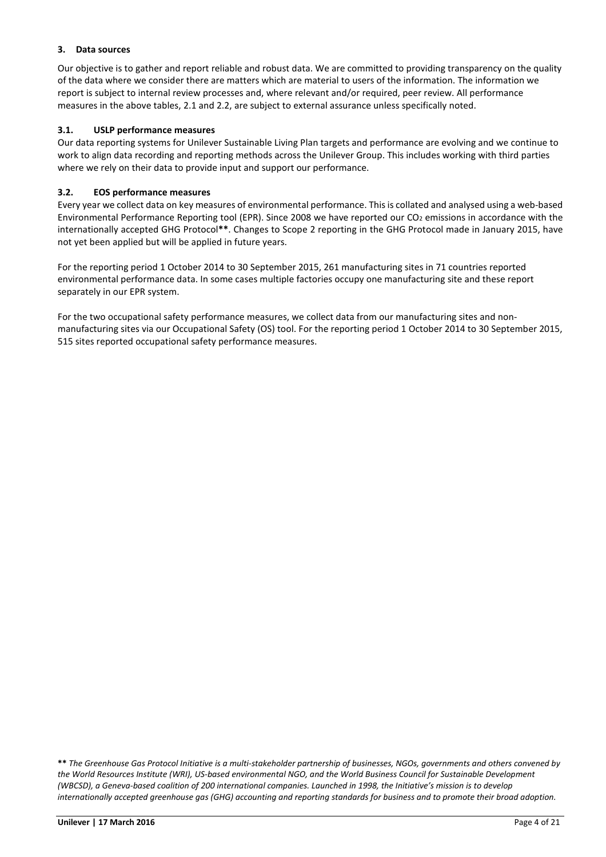# **3. Data sources**

Our objective is to gather and report reliable and robust data. We are committed to providing transparency on the quality of the data where we consider there are matters which are material to users of the information. The information we report is subject to internal review processes and, where relevant and/or required, peer review. All performance measures in the above tables, 2.1 and 2.2, are subject to external assurance unless specifically noted.

# **3.1. USLP performance measures**

Our data reporting systems for Unilever Sustainable Living Plan targets and performance are evolving and we continue to work to align data recording and reporting methods across the Unilever Group. This includes working with third parties where we rely on their data to provide input and support our performance.

# **3.2. EOS performance measures**

 Every year we collect data on key measures of environmental performance. This is collated and analysed using a web‐based Environmental Performance Reporting tool (EPR). Since 2008 we have reported our CO<sub>2</sub> emissions in accordance with the internationally accepted GHG Protocol**\*\***. Changes to Scope 2 reporting in the GHG Protocol made in January 2015, have not yet been applied but will be applied in future years.

For the reporting period 1 October 2014 to 30 September 2015, 261 manufacturing sites in 71 countries reported environmental performance data. In some cases multiple factories occupy one manufacturing site and these report separately in our EPR system.

 For the two occupational safety performance measures, we collect data from our manufacturing sites and non‐ manufacturing sites via our Occupational Safety (OS) tool. For the reporting period 1 October 2014 to 30 September 2015, 515 sites reported occupational safety performance measures.

 **\*\*** *The Greenhouse Gas Protocol Initiative is a multi‐stakeholder partnership of businesses, NGOs, governments and others convened by the World Resources Institute (WRI), US‐based environmental NGO, and the World Business Council for Sustainable Development (WBCSD), a Geneva‐based coalition of 200 international companies. Launched in 1998, the Initiative's mission is to develop internationally accepted greenhouse gas (GHG) accounting and reporting standards for business and to promote their broad adoption.*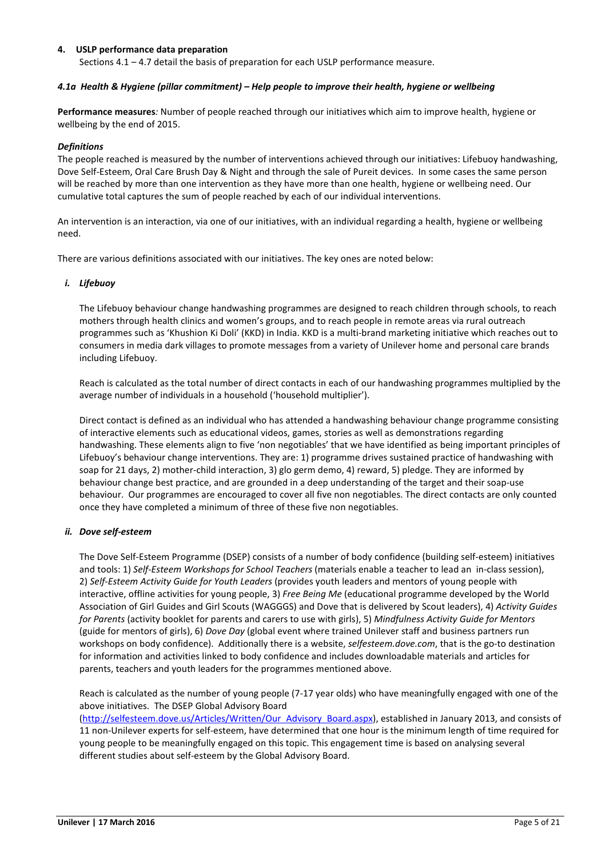# **4. USLP performance data preparation**

Sections 4.1 – 4.7 detail the basis of preparation for each USLP performance measure.

### *4.1a Health & Hygiene (pillar commitment) – Help people to improve their health, hygiene or wellbeing*

**Performance measures***:* Number of people reached through our initiatives which aim to improve health, hygiene or wellbeing by the end of 2015.

#### *Definitions*

The people reached is measured by the number of interventions achieved through our initiatives: Lifebuoy handwashing, Dove Self-Esteem, Oral Care Brush Day & Night and through the sale of Pureit devices. In some cases the same person will be reached by more than one intervention as they have more than one health, hygiene or wellbeing need. Our cumulative total captures the sum of people reached by each of our individual interventions.

An intervention is an interaction, via one of our initiatives, with an individual regarding a health, hygiene or wellbeing need.

There are various definitions associated with our initiatives. The key ones are noted below:

#### *i. Lifebuoy*

The Lifebuoy behaviour change handwashing programmes are designed to reach children through schools, to reach mothers through health clinics and women's groups, and to reach people in remote areas via rural outreach programmes such as 'Khushion Ki Doli' (KKD) in India. KKD is a multi-brand marketing initiative which reaches out to consumers in media dark villages to promote messages from a variety of Unilever home and personal care brands including Lifebuoy.

Reach is calculated as the total number of direct contacts in each of our handwashing programmes multiplied by the average number of individuals in a household ('household multiplier').

Direct contact is defined as an individual who has attended a handwashing behaviour change programme consisting of interactive elements such as educational videos, games, stories as well as demonstrations regarding handwashing. These elements align to five 'non negotiables' that we have identified as being important principles of Lifebuoy's behaviour change interventions. They are: 1) programme drives sustained practice of handwashing with soap for 21 days, 2) mother-child interaction, 3) glo germ demo, 4) reward, 5) pledge. They are informed by behaviour change best practice, and are grounded in a deep understanding of the target and their soap-use behaviour. Our programmes are encouraged to cover all five non negotiables. The direct contacts are only counted once they have completed a minimum of three of these five non negotiables.

### *ii. Dove self-esteem*

The Dove Self-Esteem Programme (DSEP) consists of a number of body confidence (building self-esteem) initiatives and tools: 1) *Self-Esteem Workshops for School Teachers* (materials enable a teacher to lead an in-class session), 2) *Self-Esteem Activity Guide for Youth Leaders* (provides youth leaders and mentors of young people with interactive, offline activities for young people, 3) *Free Being Me* (educational programme developed by the World Association of Girl Guides and Girl Scouts (WAGGGS) and Dove that is delivered by Scout leaders), 4) *Activity Guides for Parents* (activity booklet for parents and carers to use with girls), 5) *Mindfulness Activity Guide for Mentors*  (guide for mentors of girls), 6) *Dove Day* (global event where trained Unilever staff and business partners run workshops on body confidence). Additionally there is a website, *selfesteem.dove.com*, that is the go-to destination for information and activities linked to body confidence and includes downloadable materials and articles for parents, teachers and youth leaders for the programmes mentioned above.

Reach is calculated as the number of young people (7-17 year olds) who have meaningfully engaged with one of the above initiatives. The DSEP Global Advisory Board

(http://selfesteem.dove.us/Articles/Written/Our Advisory Board.aspx), established in January 2013, and consists of 11 non-Unilever experts for self-esteem, have determined that one hour is the minimum length of time required for young people to be meaningfully engaged on this topic. This engagement time is based on analysing several different studies about self-esteem by the Global Advisory Board.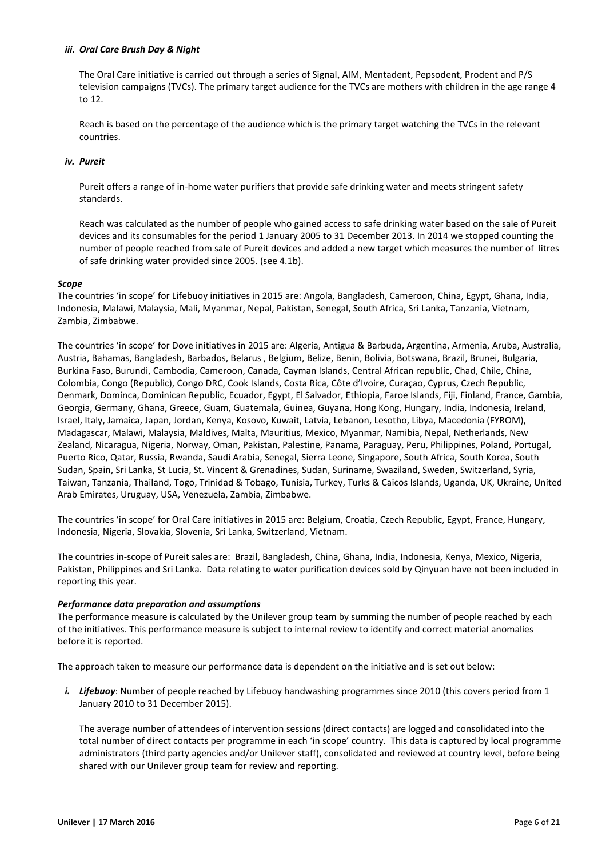# *iii. Oral Care Brush Day & Night*

The Oral Care initiative is carried out through a series of Signal, AIM, Mentadent, Pepsodent, Prodent and P/S television campaigns (TVCs). The primary target audience for the TVCs are mothers with children in the age range 4 to 12.

Reach is based on the percentage of the audience which is the primary target watching the TVCs in the relevant countries.

# *iv. Pureit*

Pureit offers a range of in-home water purifiers that provide safe drinking water and meets stringent safety standards.

Reach was calculated as the number of people who gained access to safe drinking water based on the sale of Pureit devices and its consumables for the period 1 January 2005 to 31 December 2013. In 2014 we stopped counting the number of people reached from sale of Pureit devices and added a new target which measures the number of litres of safe drinking water provided since 2005. (see 4.1b).

#### *Scope*

The countries 'in scope' for Lifebuoy initiatives in 2015 are: Angola, Bangladesh, Cameroon, China, Egypt, Ghana, India, Indonesia, Malawi, Malaysia, Mali, Myanmar, Nepal, Pakistan, Senegal, South Africa, Sri Lanka, Tanzania, Vietnam, Zambia, Zimbabwe.

The countries 'in scope' for Dove initiatives in 2015 are: Algeria, Antigua & Barbuda, Argentina, Armenia, Aruba, Australia, Austria, Bahamas, Bangladesh, Barbados, Belarus , Belgium, Belize, Benin, Bolivia, Botswana, Brazil, Brunei, Bulgaria, Burkina Faso, Burundi, Cambodia, Cameroon, Canada, Cayman Islands, Central African republic, Chad, Chile, China, Colombia, Congo (Republic), Congo DRC, Cook Islands, Costa Rica, Côte d'Ivoire, Curaçao, Cyprus, Czech Republic, Denmark, Dominca, Dominican Republic, Ecuador, Egypt, El Salvador, Ethiopia, Faroe Islands, Fiji, Finland, France, Gambia, Georgia, Germany, Ghana, Greece, Guam, Guatemala, Guinea, Guyana, Hong Kong, Hungary, India, Indonesia, Ireland, Israel, Italy, Jamaica, Japan, Jordan, Kenya, Kosovo, Kuwait, Latvia, Lebanon, Lesotho, Libya, Macedonia (FYROM), Madagascar, Malawi, Malaysia, Maldives, Malta, Mauritius, Mexico, Myanmar, Namibia, Nepal, Netherlands, New Zealand, Nicaragua, Nigeria, Norway, Oman, Pakistan, Palestine, Panama, Paraguay, Peru, Philippines, Poland, Portugal, Puerto Rico, Qatar, Russia, Rwanda, Saudi Arabia, Senegal, Sierra Leone, Singapore, South Africa, South Korea, South Sudan, Spain, Sri Lanka, St Lucia, St. Vincent & Grenadines, Sudan, Suriname, Swaziland, Sweden, Switzerland, Syria, Taiwan, Tanzania, Thailand, Togo, Trinidad & Tobago, Tunisia, Turkey, Turks & Caicos Islands, Uganda, UK, Ukraine, United Arab Emirates, Uruguay, USA, Venezuela, Zambia, Zimbabwe.

The countries 'in scope' for Oral Care initiatives in 2015 are: Belgium, Croatia, Czech Republic, Egypt, France, Hungary, Indonesia, Nigeria, Slovakia, Slovenia, Sri Lanka, Switzerland, Vietnam.

The countries in-scope of Pureit sales are: Brazil, Bangladesh, China, Ghana, India, Indonesia, Kenya, Mexico, Nigeria, Pakistan, Philippines and Sri Lanka. Data relating to water purification devices sold by Qinyuan have not been included in reporting this year.

### *Performance data preparation and assumptions*

The performance measure is calculated by the Unilever group team by summing the number of people reached by each of the initiatives. This performance measure is subject to internal review to identify and correct material anomalies before it is reported.

The approach taken to measure our performance data is dependent on the initiative and is set out below:

*i.* Lifebuoy: Number of people reached by Lifebuoy handwashing programmes since 2010 (this covers period from 1 January 2010 to 31 December 2015).

The average number of attendees of intervention sessions (direct contacts) are logged and consolidated into the total number of direct contacts per programme in each 'in scope' country. This data is captured by local programme administrators (third party agencies and/or Unilever staff), consolidated and reviewed at country level, before being shared with our Unilever group team for review and reporting.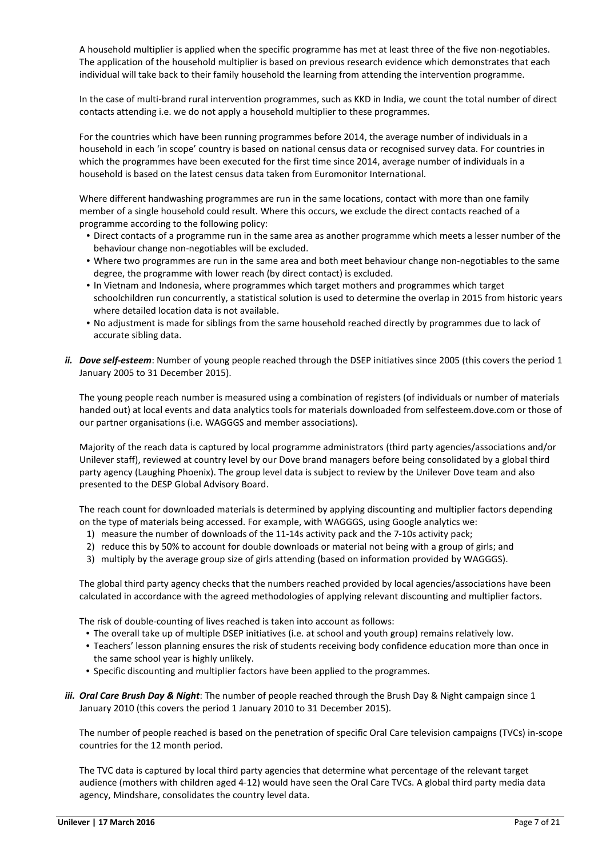A household multiplier is applied when the specific programme has met at least three of the five non-negotiables. The application of the household multiplier is based on previous research evidence which demonstrates that each individual will take back to their family household the learning from attending the intervention programme.

In the case of multi-brand rural intervention programmes, such as KKD in India, we count the total number of direct contacts attending i.e. we do not apply a household multiplier to these programmes.

For the countries which have been running programmes before 2014, the average number of individuals in a household in each 'in scope' country is based on national census data or recognised survey data. For countries in which the programmes have been executed for the first time since 2014, average number of individuals in a household is based on the latest census data taken from Euromonitor International.

Where different handwashing programmes are run in the same locations, contact with more than one family member of a single household could result. Where this occurs, we exclude the direct contacts reached of a programme according to the following policy:

- Direct contacts of a programme run in the same area as another programme which meets a lesser number of the behaviour change non-negotiables will be excluded.
- Where two programmes are run in the same area and both meet behaviour change non-negotiables to the same degree, the programme with lower reach (by direct contact) is excluded.
- In Vietnam and Indonesia, where programmes which target mothers and programmes which target schoolchildren run concurrently, a statistical solution is used to determine the overlap in 2015 from historic years where detailed location data is not available.
- No adjustment is made for siblings from the same household reached directly by programmes due to lack of accurate sibling data.
- *ii.* Dove self-esteem: Number of young people reached through the DSEP initiatives since 2005 (this covers the period 1 January 2005 to 31 December 2015).

The young people reach number is measured using a combination of registers (of individuals or number of materials handed out) at local events and data analytics tools for materials downloaded from selfesteem.dove.com or those of our partner organisations (i.e. WAGGGS and member associations).

Majority of the reach data is captured by local programme administrators (third party agencies/associations and/or Unilever staff), reviewed at country level by our Dove brand managers before being consolidated by a global third party agency (Laughing Phoenix). The group level data is subject to review by the Unilever Dove team and also presented to the DESP Global Advisory Board.

The reach count for downloaded materials is determined by applying discounting and multiplier factors depending on the type of materials being accessed. For example, with WAGGGS, using Google analytics we:

- 1) measure the number of downloads of the 11-14s activity pack and the 7-10s activity pack;
- 2) reduce this by 50% to account for double downloads or material not being with a group of girls; and
- 3) multiply by the average group size of girls attending (based on information provided by WAGGGS).

The global third party agency checks that the numbers reached provided by local agencies/associations have been calculated in accordance with the agreed methodologies of applying relevant discounting and multiplier factors.

The risk of double-counting of lives reached is taken into account as follows:

- The overall take up of multiple DSEP initiatives (i.e. at school and youth group) remains relatively low.
- Teachers' lesson planning ensures the risk of students receiving body confidence education more than once in the same school year is highly unlikely.
- Specific discounting and multiplier factors have been applied to the programmes.
- iii. Oral Care Brush Day & Night: The number of people reached through the Brush Day & Night campaign since 1 January 2010 (this covers the period 1 January 2010 to 31 December 2015).

The number of people reached is based on the penetration of specific Oral Care television campaigns (TVCs) in-scope countries for the 12 month period.

The TVC data is captured by local third party agencies that determine what percentage of the relevant target audience (mothers with children aged 4-12) would have seen the Oral Care TVCs. A global third party media data agency, Mindshare, consolidates the country level data.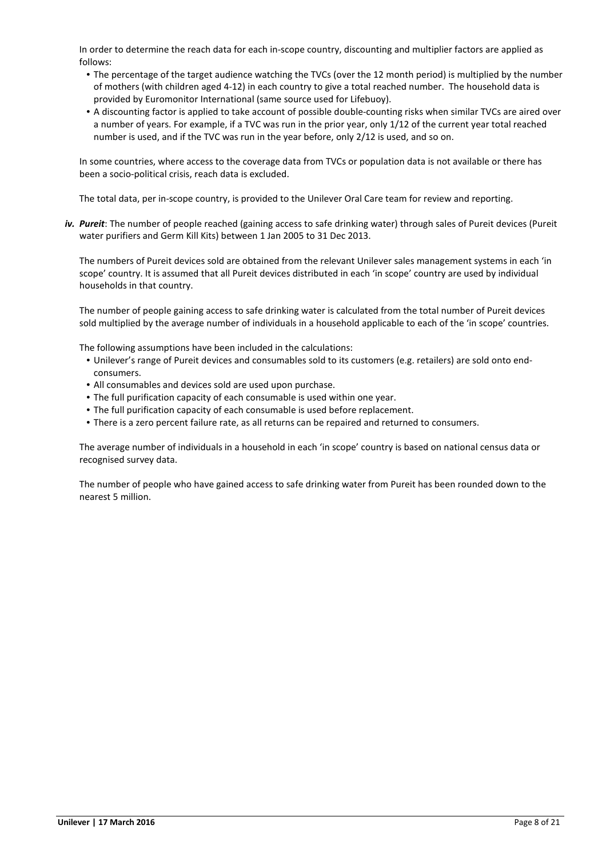In order to determine the reach data for each in-scope country, discounting and multiplier factors are applied as follows:

- The percentage of the target audience watching the TVCs (over the 12 month period) is multiplied by the number of mothers (with children aged 4-12) in each country to give a total reached number. The household data is provided by Euromonitor International (same source used for Lifebuoy).
- A discounting factor is applied to take account of possible double-counting risks when similar TVCs are aired over a number of years. For example, if a TVC was run in the prior year, only 1/12 of the current year total reached number is used, and if the TVC was run in the year before, only 2/12 is used, and so on.

In some countries, where access to the coverage data from TVCs or population data is not available or there has been a socio-political crisis, reach data is excluded.

The total data, per in-scope country, is provided to the Unilever Oral Care team for review and reporting.

*iv. Pureit*: The number of people reached (gaining access to safe drinking water) through sales of Pureit devices (Pureit water purifiers and Germ Kill Kits) between 1 Jan 2005 to 31 Dec 2013.

The numbers of Pureit devices sold are obtained from the relevant Unilever sales management systems in each 'in scope' country. It is assumed that all Pureit devices distributed in each 'in scope' country are used by individual households in that country.

The number of people gaining access to safe drinking water is calculated from the total number of Pureit devices sold multiplied by the average number of individuals in a household applicable to each of the 'in scope' countries.

The following assumptions have been included in the calculations:

- Unilever's range of Pureit devices and consumables sold to its customers (e.g. retailers) are sold onto endconsumers.
- All consumables and devices sold are used upon purchase.
- The full purification capacity of each consumable is used within one year.
- The full purification capacity of each consumable is used before replacement.
- There is a zero percent failure rate, as all returns can be repaired and returned to consumers.

The average number of individuals in a household in each 'in scope' country is based on national census data or recognised survey data.

The number of people who have gained access to safe drinking water from Pureit has been rounded down to the nearest 5 million.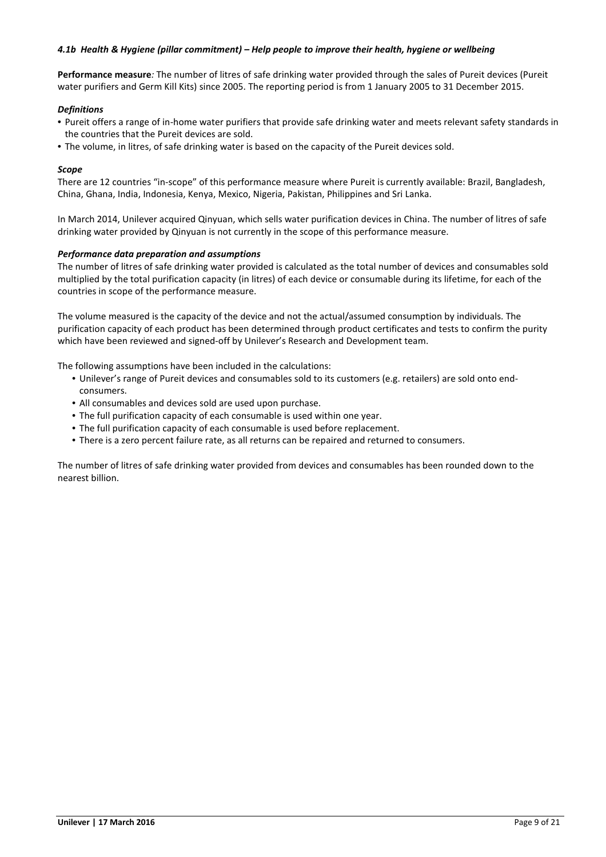# *4.1b Health & Hygiene (pillar commitment) – Help people to improve their health, hygiene or wellbeing*

**Performance measure***:* The number of litres of safe drinking water provided through the sales of Pureit devices (Pureit water purifiers and Germ Kill Kits) since 2005. The reporting period is from 1 January 2005 to 31 December 2015.

#### *Definitions*

- Pureit offers a range of in-home water purifiers that provide safe drinking water and meets relevant safety standards in the countries that the Pureit devices are sold.
- The volume, in litres, of safe drinking water is based on the capacity of the Pureit devices sold.

### *Scope*

There are 12 countries "in-scope" of this performance measure where Pureit is currently available: Brazil, Bangladesh, China, Ghana, India, Indonesia, Kenya, Mexico, Nigeria, Pakistan, Philippines and Sri Lanka.

In March 2014, Unilever acquired Qinyuan, which sells water purification devices in China. The number of litres of safe drinking water provided by Qinyuan is not currently in the scope of this performance measure.

#### *Performance data preparation and assumptions*

The number of litres of safe drinking water provided is calculated as the total number of devices and consumables sold multiplied by the total purification capacity (in litres) of each device or consumable during its lifetime, for each of the countries in scope of the performance measure.

The volume measured is the capacity of the device and not the actual/assumed consumption by individuals. The purification capacity of each product has been determined through product certificates and tests to confirm the purity which have been reviewed and signed-off by Unilever's Research and Development team.

The following assumptions have been included in the calculations:

- Unilever's range of Pureit devices and consumables sold to its customers (e.g. retailers) are sold onto endconsumers.
- All consumables and devices sold are used upon purchase.
- The full purification capacity of each consumable is used within one year.
- The full purification capacity of each consumable is used before replacement.
- There is a zero percent failure rate, as all returns can be repaired and returned to consumers.

The number of litres of safe drinking water provided from devices and consumables has been rounded down to the nearest billion.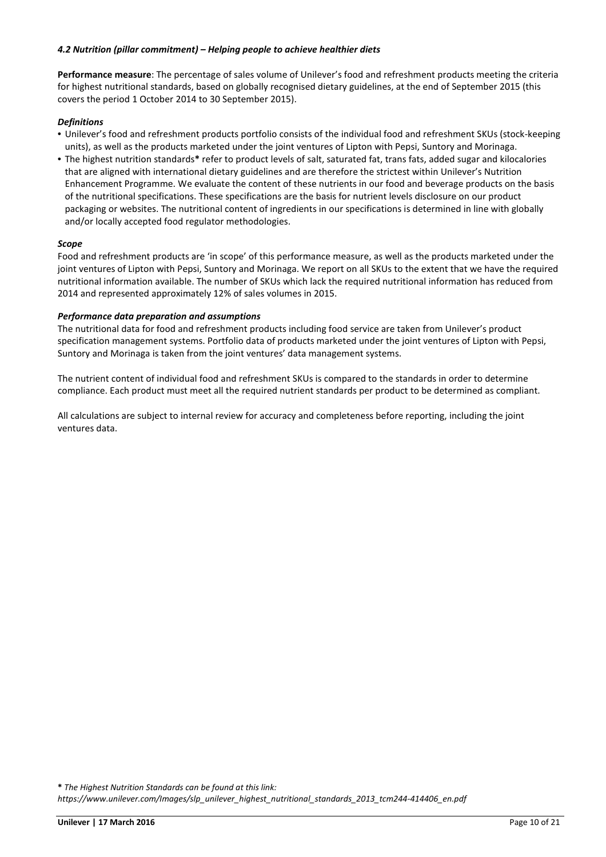# *4.2 Nutrition (pillar commitment) – Helping people to achieve healthier diets*

**Performance measure**: The percentage of sales volume of Unilever's food and refreshment products meeting the criteria for highest nutritional standards, based on globally recognised dietary guidelines, at the end of September 2015 (this covers the period 1 October 2014 to 30 September 2015).

# *Definitions*

- Unilever's food and refreshment products portfolio consists of the individual food and refreshment SKUs (stock-keeping units), as well as the products marketed under the joint ventures of Lipton with Pepsi, Suntory and Morinaga.
- The highest nutrition standards**\*** refer to product levels of salt, saturated fat, trans fats, added sugar and kilocalories that are aligned with international dietary guidelines and are therefore the strictest within Unilever's Nutrition Enhancement Programme. We evaluate the content of these nutrients in our food and beverage products on the basis of the nutritional specifications. These specifications are the basis for nutrient levels disclosure on our product packaging or websites. The nutritional content of ingredients in our specifications is determined in line with globally and/or locally accepted food regulator methodologies.

# *Scope*

Food and refreshment products are 'in scope' of this performance measure, as well as the products marketed under the joint ventures of Lipton with Pepsi, Suntory and Morinaga. We report on all SKUs to the extent that we have the required nutritional information available. The number of SKUs which lack the required nutritional information has reduced from 2014 and represented approximately 12% of sales volumes in 2015.

### *Performance data preparation and assumptions*

The nutritional data for food and refreshment products including food service are taken from Unilever's product specification management systems. Portfolio data of products marketed under the joint ventures of Lipton with Pepsi, Suntory and Morinaga is taken from the joint ventures' data management systems.

The nutrient content of individual food and refreshment SKUs is compared to the standards in order to determine compliance. Each product must meet all the required nutrient standards per product to be determined as compliant.

All calculations are subject to internal review for accuracy and completeness before reporting, including the joint ventures data.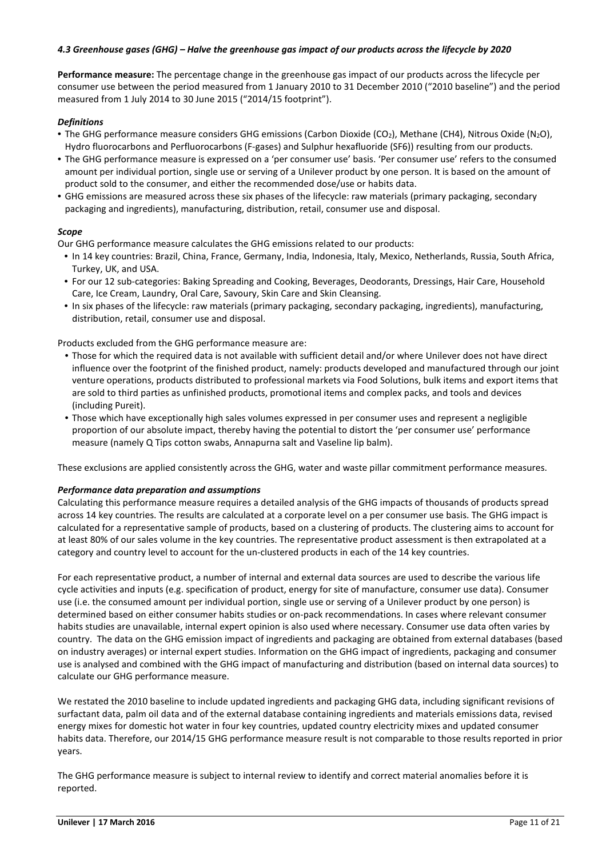# *4.3 Greenhouse gases (GHG) – Halve the greenhouse gas impact of our products across the lifecycle by 2020*

**Performance measure:** The percentage change in the greenhouse gas impact of our products across the lifecycle per consumer use between the period measured from 1 January 2010 to 31 December 2010 ("2010 baseline") and the period measured from 1 July 2014 to 30 June 2015 ("2014/15 footprint").

# *Definitions*

- The GHG performance measure considers GHG emissions (Carbon Dioxide (CO2), Methane (CH4), Nitrous Oxide (N2O), Hydro fluorocarbons and Perfluorocarbons (F-gases) and Sulphur hexafluoride (SF6)) resulting from our products.
- The GHG performance measure is expressed on a 'per consumer use' basis. 'Per consumer use' refers to the consumed amount per individual portion, single use or serving of a Unilever product by one person. It is based on the amount of product sold to the consumer, and either the recommended dose/use or habits data.
- GHG emissions are measured across these six phases of the lifecycle: raw materials (primary packaging, secondary packaging and ingredients), manufacturing, distribution, retail, consumer use and disposal.

# *Scope*

Our GHG performance measure calculates the GHG emissions related to our products:

- In 14 key countries: Brazil, China, France, Germany, India, Indonesia, Italy, Mexico, Netherlands, Russia, South Africa, Turkey, UK, and USA.
- For our 12 sub-categories: Baking Spreading and Cooking, Beverages, Deodorants, Dressings, Hair Care, Household Care, Ice Cream, Laundry, Oral Care, Savoury, Skin Care and Skin Cleansing.
- In six phases of the lifecycle: raw materials (primary packaging, secondary packaging, ingredients), manufacturing, distribution, retail, consumer use and disposal.

Products excluded from the GHG performance measure are:

- Those for which the required data is not available with sufficient detail and/or where Unilever does not have direct influence over the footprint of the finished product, namely: products developed and manufactured through our joint venture operations, products distributed to professional markets via Food Solutions, bulk items and export items that are sold to third parties as unfinished products, promotional items and complex packs, and tools and devices (including Pureit).
- Those which have exceptionally high sales volumes expressed in per consumer uses and represent a negligible proportion of our absolute impact, thereby having the potential to distort the 'per consumer use' performance measure (namely Q Tips cotton swabs, Annapurna salt and Vaseline lip balm).

These exclusions are applied consistently across the GHG, water and waste pillar commitment performance measures.

### *Performance data preparation and assumptions*

Calculating this performance measure requires a detailed analysis of the GHG impacts of thousands of products spread across 14 key countries. The results are calculated at a corporate level on a per consumer use basis. The GHG impact is calculated for a representative sample of products, based on a clustering of products. The clustering aims to account for at least 80% of our sales volume in the key countries. The representative product assessment is then extrapolated at a category and country level to account for the un-clustered products in each of the 14 key countries.

For each representative product, a number of internal and external data sources are used to describe the various life cycle activities and inputs (e.g. specification of product, energy for site of manufacture, consumer use data). Consumer use (i.e. the consumed amount per individual portion, single use or serving of a Unilever product by one person) is determined based on either consumer habits studies or on-pack recommendations. In cases where relevant consumer habits studies are unavailable, internal expert opinion is also used where necessary. Consumer use data often varies by country. The data on the GHG emission impact of ingredients and packaging are obtained from external databases (based on industry averages) or internal expert studies. Information on the GHG impact of ingredients, packaging and consumer use is analysed and combined with the GHG impact of manufacturing and distribution (based on internal data sources) to calculate our GHG performance measure.

We restated the 2010 baseline to include updated ingredients and packaging GHG data, including significant revisions of surfactant data, palm oil data and of the external database containing ingredients and materials emissions data, revised energy mixes for domestic hot water in four key countries, updated country electricity mixes and updated consumer habits data. Therefore, our 2014/15 GHG performance measure result is not comparable to those results reported in prior years.

The GHG performance measure is subject to internal review to identify and correct material anomalies before it is reported.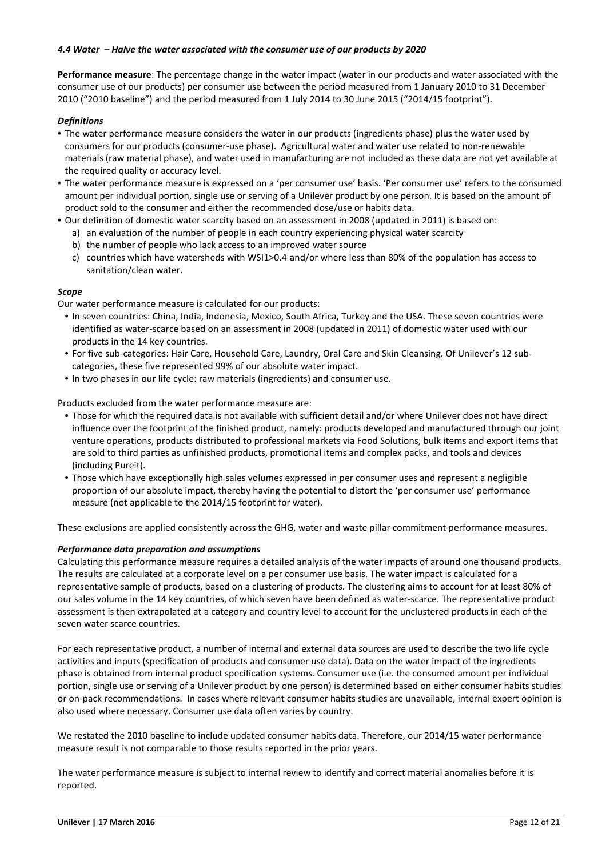# *4.4 Water – Halve the water associated with the consumer use of our products by 2020*

**Performance measure**: The percentage change in the water impact (water in our products and water associated with the consumer use of our products) per consumer use between the period measured from 1 January 2010 to 31 December 2010 ("2010 baseline") and the period measured from 1 July 2014 to 30 June 2015 ("2014/15 footprint").

# *Definitions*

- The water performance measure considers the water in our products (ingredients phase) plus the water used by consumers for our products (consumer-use phase). Agricultural water and water use related to non-renewable materials (raw material phase), and water used in manufacturing are not included as these data are not yet available at the required quality or accuracy level.
- The water performance measure is expressed on a 'per consumer use' basis. 'Per consumer use' refers to the consumed amount per individual portion, single use or serving of a Unilever product by one person. It is based on the amount of product sold to the consumer and either the recommended dose/use or habits data.
- Our definition of domestic water scarcity based on an assessment in 2008 (updated in 2011) is based on:
	- a) an evaluation of the number of people in each country experiencing physical water scarcity
	- b) the number of people who lack access to an improved water source
	- c) countries which have watersheds with WSI1>0.4 and/or where less than 80% of the population has access to sanitation/clean water.

### *Scope*

Our water performance measure is calculated for our products:

- In seven countries: China, India, Indonesia, Mexico, South Africa, Turkey and the USA. These seven countries were identified as water-scarce based on an assessment in 2008 (updated in 2011) of domestic water used with our products in the 14 key countries.
- For five sub-categories: Hair Care, Household Care, Laundry, Oral Care and Skin Cleansing. Of Unilever's 12 subcategories, these five represented 99% of our absolute water impact.
- In two phases in our life cycle: raw materials (ingredients) and consumer use.

Products excluded from the water performance measure are:

- Those for which the required data is not available with sufficient detail and/or where Unilever does not have direct influence over the footprint of the finished product, namely: products developed and manufactured through our joint venture operations, products distributed to professional markets via Food Solutions, bulk items and export items that are sold to third parties as unfinished products, promotional items and complex packs, and tools and devices (including Pureit).
- Those which have exceptionally high sales volumes expressed in per consumer uses and represent a negligible proportion of our absolute impact, thereby having the potential to distort the 'per consumer use' performance measure (not applicable to the 2014/15 footprint for water).

These exclusions are applied consistently across the GHG, water and waste pillar commitment performance measures.

### *Performance data preparation and assumptions*

Calculating this performance measure requires a detailed analysis of the water impacts of around one thousand products. The results are calculated at a corporate level on a per consumer use basis. The water impact is calculated for a representative sample of products, based on a clustering of products. The clustering aims to account for at least 80% of our sales volume in the 14 key countries, of which seven have been defined as water-scarce. The representative product assessment is then extrapolated at a category and country level to account for the unclustered products in each of the seven water scarce countries.

For each representative product, a number of internal and external data sources are used to describe the two life cycle activities and inputs (specification of products and consumer use data). Data on the water impact of the ingredients phase is obtained from internal product specification systems. Consumer use (i.e. the consumed amount per individual portion, single use or serving of a Unilever product by one person) is determined based on either consumer habits studies or on-pack recommendations. In cases where relevant consumer habits studies are unavailable, internal expert opinion is also used where necessary. Consumer use data often varies by country.

We restated the 2010 baseline to include updated consumer habits data. Therefore, our 2014/15 water performance measure result is not comparable to those results reported in the prior years.

The water performance measure is subject to internal review to identify and correct material anomalies before it is reported.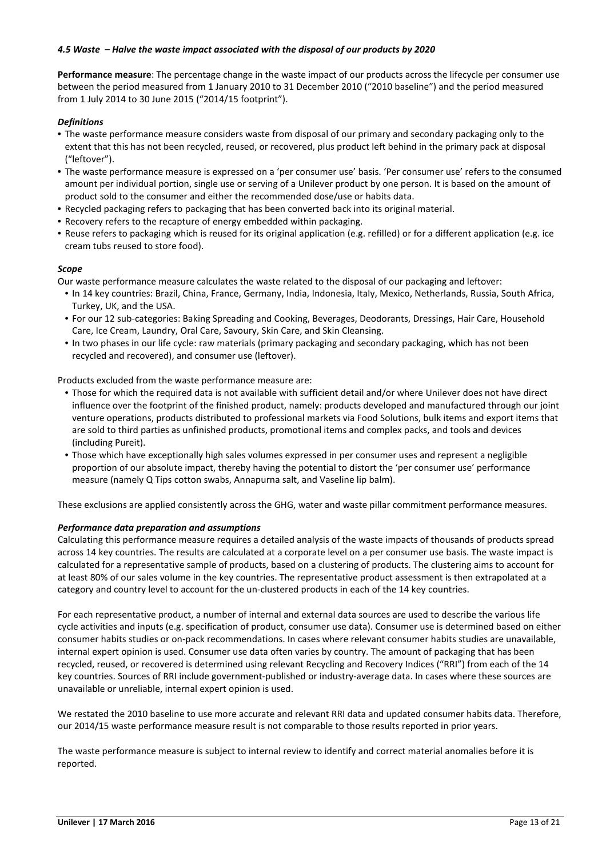# *4.5 Waste – Halve the waste impact associated with the disposal of our products by 2020*

**Performance measure**: The percentage change in the waste impact of our products across the lifecycle per consumer use between the period measured from 1 January 2010 to 31 December 2010 ("2010 baseline") and the period measured from 1 July 2014 to 30 June 2015 ("2014/15 footprint").

# *Definitions*

- The waste performance measure considers waste from disposal of our primary and secondary packaging only to the extent that this has not been recycled, reused, or recovered, plus product left behind in the primary pack at disposal ("leftover").
- The waste performance measure is expressed on a 'per consumer use' basis. 'Per consumer use' refers to the consumed amount per individual portion, single use or serving of a Unilever product by one person. It is based on the amount of product sold to the consumer and either the recommended dose/use or habits data.
- Recycled packaging refers to packaging that has been converted back into its original material.
- Recovery refers to the recapture of energy embedded within packaging.
- Reuse refers to packaging which is reused for its original application (e.g. refilled) or for a different application (e.g. ice cream tubs reused to store food).

# *Scope*

Our waste performance measure calculates the waste related to the disposal of our packaging and leftover:

- In 14 key countries: Brazil, China, France, Germany, India, Indonesia, Italy, Mexico, Netherlands, Russia, South Africa, Turkey, UK, and the USA.
- For our 12 sub-categories: Baking Spreading and Cooking, Beverages, Deodorants, Dressings, Hair Care, Household Care, Ice Cream, Laundry, Oral Care, Savoury, Skin Care, and Skin Cleansing.
- In two phases in our life cycle: raw materials (primary packaging and secondary packaging, which has not been recycled and recovered), and consumer use (leftover).

Products excluded from the waste performance measure are:

- Those for which the required data is not available with sufficient detail and/or where Unilever does not have direct influence over the footprint of the finished product, namely: products developed and manufactured through our joint venture operations, products distributed to professional markets via Food Solutions, bulk items and export items that are sold to third parties as unfinished products, promotional items and complex packs, and tools and devices (including Pureit).
- Those which have exceptionally high sales volumes expressed in per consumer uses and represent a negligible proportion of our absolute impact, thereby having the potential to distort the 'per consumer use' performance measure (namely Q Tips cotton swabs, Annapurna salt, and Vaseline lip balm).

These exclusions are applied consistently across the GHG, water and waste pillar commitment performance measures.

### *Performance data preparation and assumptions*

Calculating this performance measure requires a detailed analysis of the waste impacts of thousands of products spread across 14 key countries. The results are calculated at a corporate level on a per consumer use basis. The waste impact is calculated for a representative sample of products, based on a clustering of products. The clustering aims to account for at least 80% of our sales volume in the key countries. The representative product assessment is then extrapolated at a category and country level to account for the un-clustered products in each of the 14 key countries.

For each representative product, a number of internal and external data sources are used to describe the various life cycle activities and inputs (e.g. specification of product, consumer use data). Consumer use is determined based on either consumer habits studies or on-pack recommendations. In cases where relevant consumer habits studies are unavailable, internal expert opinion is used. Consumer use data often varies by country. The amount of packaging that has been recycled, reused, or recovered is determined using relevant Recycling and Recovery Indices ("RRI") from each of the 14 key countries. Sources of RRI include government-published or industry-average data. In cases where these sources are unavailable or unreliable, internal expert opinion is used.

We restated the 2010 baseline to use more accurate and relevant RRI data and updated consumer habits data. Therefore, our 2014/15 waste performance measure result is not comparable to those results reported in prior years.

The waste performance measure is subject to internal review to identify and correct material anomalies before it is reported.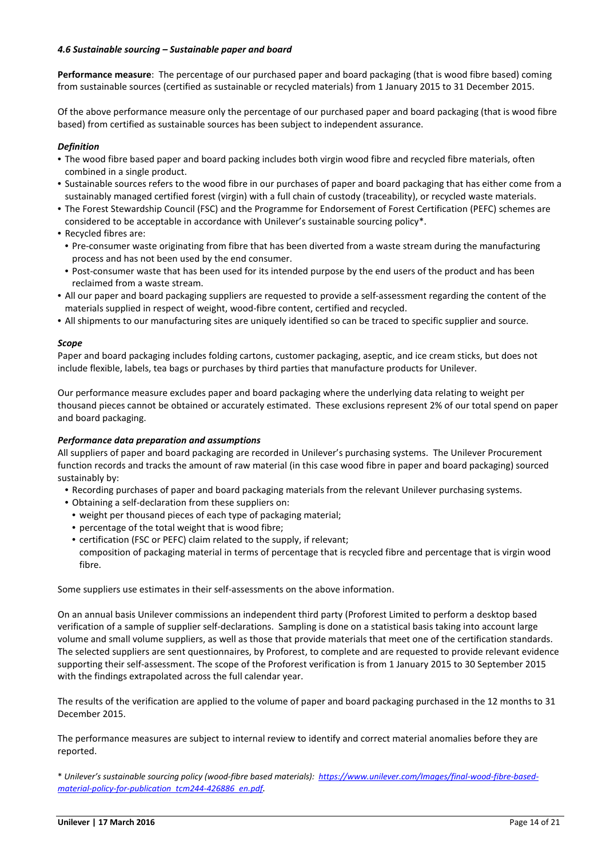# *4.6 Sustainable sourcing – Sustainable paper and board*

**Performance measure**: The percentage of our purchased paper and board packaging (that is wood fibre based) coming from sustainable sources (certified as sustainable or recycled materials) from 1 January 2015 to 31 December 2015.

Of the above performance measure only the percentage of our purchased paper and board packaging (that is wood fibre based) from certified as sustainable sources has been subject to independent assurance.

# *Definition*

- The wood fibre based paper and board packing includes both virgin wood fibre and recycled fibre materials, often combined in a single product.
- Sustainable sources refers to the wood fibre in our purchases of paper and board packaging that has either come from a sustainably managed certified forest (virgin) with a full chain of custody (traceability), or recycled waste materials.
- The Forest Stewardship Council (FSC) and the Programme for Endorsement of Forest Certification (PEFC) schemes are considered to be acceptable in accordance with Unilever's sustainable sourcing policy\*.
- Recycled fibres are:
- Pre-consumer waste originating from fibre that has been diverted from a waste stream during the manufacturing process and has not been used by the end consumer.
- Post-consumer waste that has been used for its intended purpose by the end users of the product and has been reclaimed from a waste stream.
- All our paper and board packaging suppliers are requested to provide a self-assessment regarding the content of the materials supplied in respect of weight, wood-fibre content, certified and recycled.
- All shipments to our manufacturing sites are uniquely identified so can be traced to specific supplier and source.

### *Scope*

Paper and board packaging includes folding cartons, customer packaging, aseptic, and ice cream sticks, but does not include flexible, labels, tea bags or purchases by third parties that manufacture products for Unilever.

Our performance measure excludes paper and board packaging where the underlying data relating to weight per thousand pieces cannot be obtained or accurately estimated. These exclusions represent 2% of our total spend on paper and board packaging.

### *Performance data preparation and assumptions*

All suppliers of paper and board packaging are recorded in Unilever's purchasing systems. The Unilever Procurement function records and tracks the amount of raw material (in this case wood fibre in paper and board packaging) sourced sustainably by:

- Recording purchases of paper and board packaging materials from the relevant Unilever purchasing systems.
- Obtaining a self-declaration from these suppliers on:
- weight per thousand pieces of each type of packaging material;
- percentage of the total weight that is wood fibre;
- certification (FSC or PEFC) claim related to the supply, if relevant; composition of packaging material in terms of percentage that is recycled fibre and percentage that is virgin wood fibre.

Some suppliers use estimates in their self-assessments on the above information.

On an annual basis Unilever commissions an independent third party (Proforest Limited to perform a desktop based verification of a sample of supplier self-declarations. Sampling is done on a statistical basis taking into account large volume and small volume suppliers, as well as those that provide materials that meet one of the certification standards. The selected suppliers are sent questionnaires, by Proforest, to complete and are requested to provide relevant evidence supporting their self-assessment. The scope of the Proforest verification is from 1 January 2015 to 30 September 2015 with the findings extrapolated across the full calendar year.

The results of the verification are applied to the volume of paper and board packaging purchased in the 12 months to 31 December 2015.

The performance measures are subject to internal review to identify and correct material anomalies before they are reported.

\* *Unilever's sustainable sourcing policy (wood-fibre based materials): https://www.unilever.com/Images/final-wood-fibre-basedmaterial-policy-for-publication tcm244-426886 en.pdf.*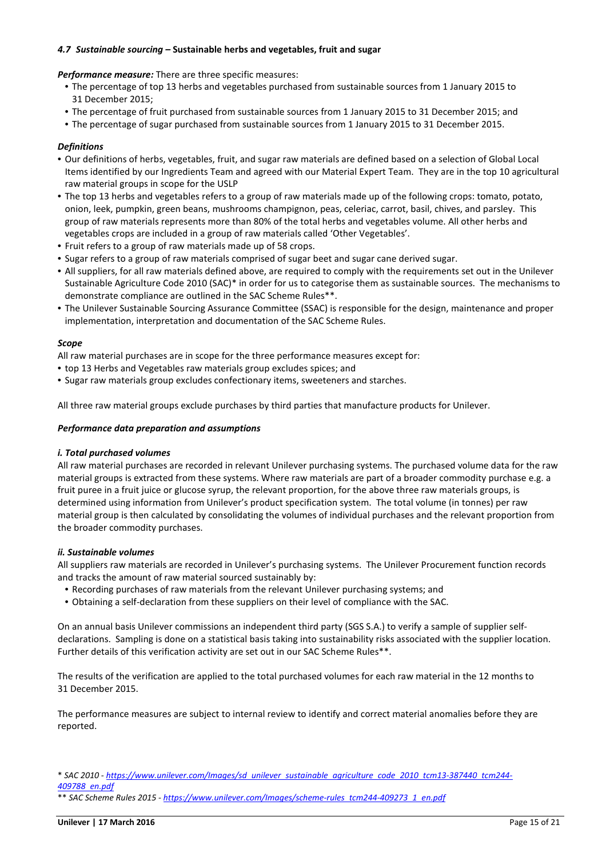# *4.7 Sustainable sourcing –* **Sustainable herbs and vegetables, fruit and sugar**

*Performance measure:* There are three specific measures:

- The percentage of top 13 herbs and vegetables purchased from sustainable sources from 1 January 2015 to 31 December 2015;
- The percentage of fruit purchased from sustainable sources from 1 January 2015 to 31 December 2015; and
- The percentage of sugar purchased from sustainable sources from 1 January 2015 to 31 December 2015.

# *Definitions*

- Our definitions of herbs, vegetables, fruit, and sugar raw materials are defined based on a selection of Global Local Items identified by our Ingredients Team and agreed with our Material Expert Team. They are in the top 10 agricultural raw material groups in scope for the USLP
- The top 13 herbs and vegetables refers to a group of raw materials made up of the following crops: tomato, potato, onion, leek, pumpkin, green beans, mushrooms champignon, peas, celeriac, carrot, basil, chives, and parsley. This group of raw materials represents more than 80% of the total herbs and vegetables volume. All other herbs and vegetables crops are included in a group of raw materials called 'Other Vegetables'.
- Fruit refers to a group of raw materials made up of 58 crops.
- Sugar refers to a group of raw materials comprised of sugar beet and sugar cane derived sugar.
- All suppliers, for all raw materials defined above, are required to comply with the requirements set out in the Unilever Sustainable Agriculture Code 2010 (SAC)\* in order for us to categorise them as sustainable sources. The mechanisms to demonstrate compliance are outlined in the SAC Scheme Rules\*\*.
- The Unilever Sustainable Sourcing Assurance Committee (SSAC) is responsible for the design, maintenance and proper implementation, interpretation and documentation of the SAC Scheme Rules.

### *Scope*

All raw material purchases are in scope for the three performance measures except for:

- top 13 Herbs and Vegetables raw materials group excludes spices; and
- Sugar raw materials group excludes confectionary items, sweeteners and starches.

All three raw material groups exclude purchases by third parties that manufacture products for Unilever.

#### *Performance data preparation and assumptions*

#### *i. Total purchased volumes*

All raw material purchases are recorded in relevant Unilever purchasing systems. The purchased volume data for the raw material groups is extracted from these systems. Where raw materials are part of a broader commodity purchase e.g. a fruit puree in a fruit juice or glucose syrup, the relevant proportion, for the above three raw materials groups, is determined using information from Unilever's product specification system. The total volume (in tonnes) per raw material group is then calculated by consolidating the volumes of individual purchases and the relevant proportion from the broader commodity purchases.

### *ii. Sustainable volumes*

All suppliers raw materials are recorded in Unilever's purchasing systems. The Unilever Procurement function records and tracks the amount of raw material sourced sustainably by:

- Recording purchases of raw materials from the relevant Unilever purchasing systems; and
- Obtaining a self-declaration from these suppliers on their level of compliance with the SAC.

On an annual basis Unilever commissions an independent third party (SGS S.A.) to verify a sample of supplier selfdeclarations. Sampling is done on a statistical basis taking into sustainability risks associated with the supplier location. Further details of this verification activity are set out in our SAC Scheme Rules\*\*.

The results of the verification are applied to the total purchased volumes for each raw material in the 12 months to 31 December 2015.

The performance measures are subject to internal review to identify and correct material anomalies before they are reported.

<sup>\*</sup> *SAC 2010 - https://www.unilever.com/Images/sd unilever sustainable agriculture code 2010 tcm13-387440 tcm244 409788 en.pdf* 

<sup>\*\*</sup> *SAC Scheme Rules 2015 - https://www.unilever.com/Images/scheme-rules tcm244-409273 1 en.pdf*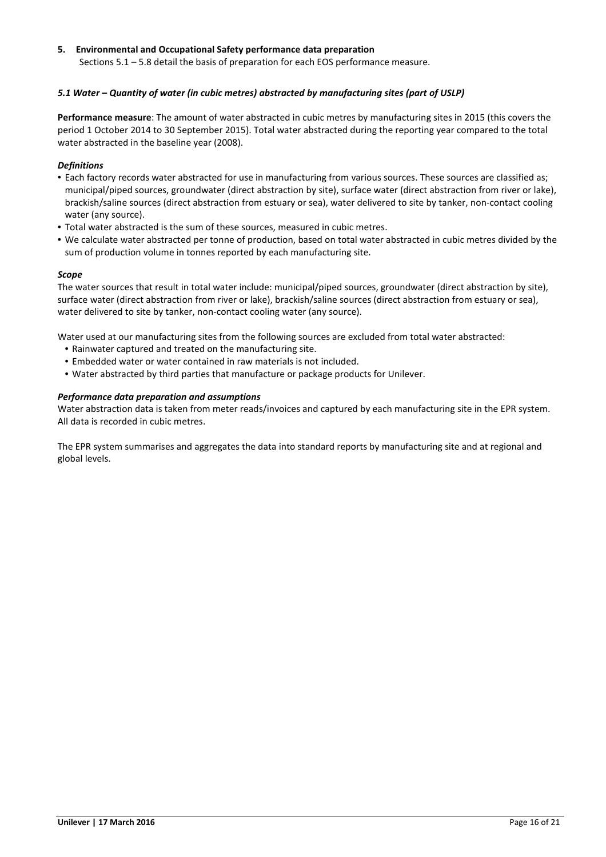# **5. Environmental and Occupational Safety performance data preparation**

Sections 5.1 – 5.8 detail the basis of preparation for each EOS performance measure.

# *5.1 Water – Quantity of water (in cubic metres) abstracted by manufacturing sites (part of USLP)*

**Performance measure**: The amount of water abstracted in cubic metres by manufacturing sites in 2015 (this covers the period 1 October 2014 to 30 September 2015). Total water abstracted during the reporting year compared to the total water abstracted in the baseline year (2008).

# *Definitions*

- Each factory records water abstracted for use in manufacturing from various sources. These sources are classified as; municipal/piped sources, groundwater (direct abstraction by site), surface water (direct abstraction from river or lake), brackish/saline sources (direct abstraction from estuary or sea), water delivered to site by tanker, non-contact cooling water (any source).
- Total water abstracted is the sum of these sources, measured in cubic metres.
- We calculate water abstracted per tonne of production, based on total water abstracted in cubic metres divided by the sum of production volume in tonnes reported by each manufacturing site.

# *Scope*

The water sources that result in total water include: municipal/piped sources, groundwater (direct abstraction by site), surface water (direct abstraction from river or lake), brackish/saline sources (direct abstraction from estuary or sea), water delivered to site by tanker, non-contact cooling water (any source).

Water used at our manufacturing sites from the following sources are excluded from total water abstracted:

- Rainwater captured and treated on the manufacturing site.
- Embedded water or water contained in raw materials is not included.
- Water abstracted by third parties that manufacture or package products for Unilever.

# *Performance data preparation and assumptions*

Water abstraction data is taken from meter reads/invoices and captured by each manufacturing site in the EPR system. All data is recorded in cubic metres.

The EPR system summarises and aggregates the data into standard reports by manufacturing site and at regional and global levels.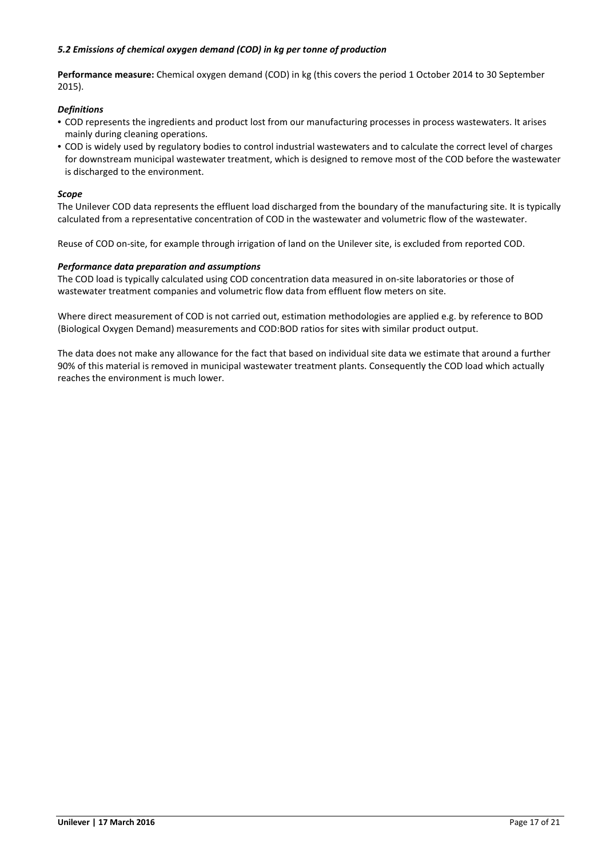# *5.2 Emissions of chemical oxygen demand (COD) in kg per tonne of production*

**Performance measure:** Chemical oxygen demand (COD) in kg (this covers the period 1 October 2014 to 30 September 2015).

### *Definitions*

- COD represents the ingredients and product lost from our manufacturing processes in process wastewaters. It arises mainly during cleaning operations.
- COD is widely used by regulatory bodies to control industrial wastewaters and to calculate the correct level of charges for downstream municipal wastewater treatment, which is designed to remove most of the COD before the wastewater is discharged to the environment.

#### *Scope*

The Unilever COD data represents the effluent load discharged from the boundary of the manufacturing site. It is typically calculated from a representative concentration of COD in the wastewater and volumetric flow of the wastewater.

Reuse of COD on-site, for example through irrigation of land on the Unilever site, is excluded from reported COD.

#### *Performance data preparation and assumptions*

The COD load is typically calculated using COD concentration data measured in on-site laboratories or those of wastewater treatment companies and volumetric flow data from effluent flow meters on site.

Where direct measurement of COD is not carried out, estimation methodologies are applied e.g. by reference to BOD (Biological Oxygen Demand) measurements and COD:BOD ratios for sites with similar product output.

The data does not make any allowance for the fact that based on individual site data we estimate that around a further 90% of this material is removed in municipal wastewater treatment plants. Consequently the COD load which actually reaches the environment is much lower.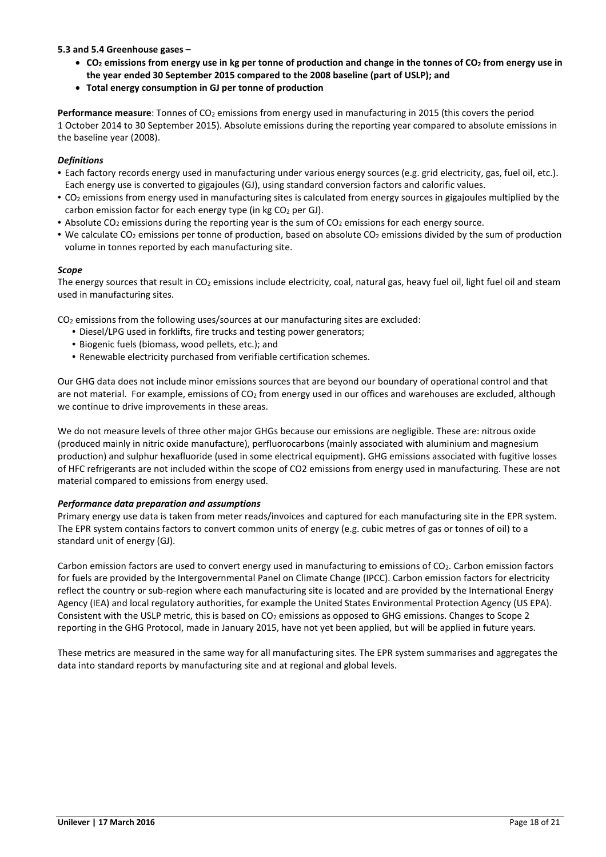# **5.3 and 5.4 Greenhouse gases –**

- **CO2 emissions from energy use in kg per tonne of production and change in the tonnes of CO2 from energy use in the year ended 30 September 2015 compared to the 2008 baseline (part of USLP); and**
- **Total energy consumption in GJ per tonne of production**

**Performance measure**: Tonnes of CO<sub>2</sub> emissions from energy used in manufacturing in 2015 (this covers the period 1 October 2014 to 30 September 2015). Absolute emissions during the reporting year compared to absolute emissions in the baseline year (2008).

# *Definitions*

- Each factory records energy used in manufacturing under various energy sources (e.g. grid electricity, gas, fuel oil, etc.). Each energy use is converted to gigajoules (GJ), using standard conversion factors and calorific values.
- CO2 emissions from energy used in manufacturing sites is calculated from energy sources in gigajoules multiplied by the carbon emission factor for each energy type (in kg CO<sub>2</sub> per GJ).
- Absolute CO<sub>2</sub> emissions during the reporting year is the sum of CO<sub>2</sub> emissions for each energy source.
- We calculate CO<sub>2</sub> emissions per tonne of production, based on absolute CO<sub>2</sub> emissions divided by the sum of production volume in tonnes reported by each manufacturing site.

# *Scope*

The energy sources that result in  $CO<sub>2</sub>$  emissions include electricity, coal, natural gas, heavy fuel oil, light fuel oil and steam used in manufacturing sites.

 $CO<sub>2</sub>$  emissions from the following uses/sources at our manufacturing sites are excluded:

- Diesel/LPG used in forklifts, fire trucks and testing power generators;
- Biogenic fuels (biomass, wood pellets, etc.); and
- Renewable electricity purchased from verifiable certification schemes.

Our GHG data does not include minor emissions sources that are beyond our boundary of operational control and that are not material. For example, emissions of CO<sub>2</sub> from energy used in our offices and warehouses are excluded, although we continue to drive improvements in these areas.

We do not measure levels of three other major GHGs because our emissions are negligible. These are: nitrous oxide (produced mainly in nitric oxide manufacture), perfluorocarbons (mainly associated with aluminium and magnesium production) and sulphur hexafluoride (used in some electrical equipment). GHG emissions associated with fugitive losses of HFC refrigerants are not included within the scope of CO2 emissions from energy used in manufacturing. These are not material compared to emissions from energy used.

### *Performance data preparation and assumptions*

Primary energy use data is taken from meter reads/invoices and captured for each manufacturing site in the EPR system. The EPR system contains factors to convert common units of energy (e.g. cubic metres of gas or tonnes of oil) to a standard unit of energy (GJ).

Carbon emission factors are used to convert energy used in manufacturing to emissions of CO<sub>2</sub>. Carbon emission factors for fuels are provided by the Intergovernmental Panel on Climate Change (IPCC). Carbon emission factors for electricity reflect the country or sub-region where each manufacturing site is located and are provided by the International Energy Agency (IEA) and local regulatory authorities, for example the United States Environmental Protection Agency (US EPA). Consistent with the USLP metric, this is based on CO<sub>2</sub> emissions as opposed to GHG emissions. Changes to Scope 2 reporting in the GHG Protocol, made in January 2015, have not yet been applied, but will be applied in future years.

These metrics are measured in the same way for all manufacturing sites. The EPR system summarises and aggregates the data into standard reports by manufacturing site and at regional and global levels.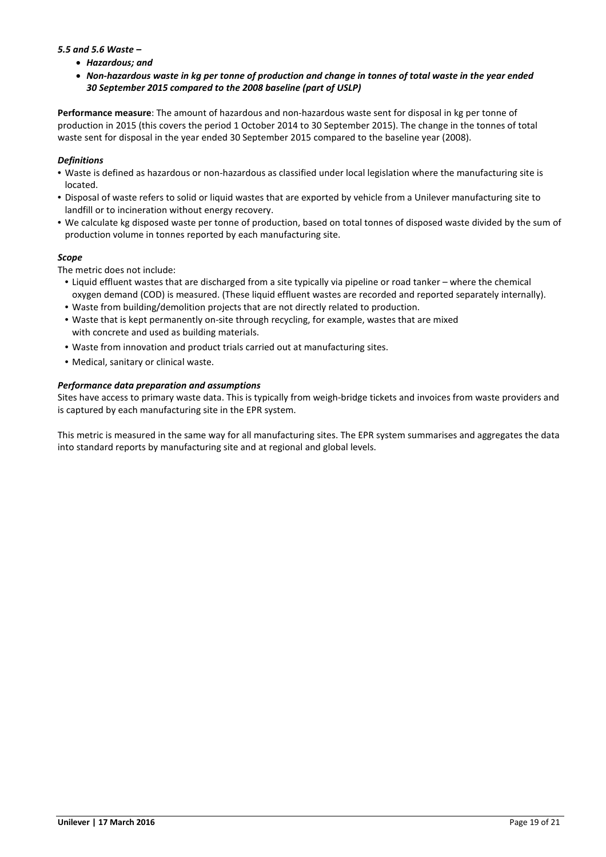# *5.5 and 5.6 Waste –*

- *Hazardous; and*
- *Non-hazardous waste in kg per tonne of production and change in tonnes of total waste in the year ended 30 September 2015 compared to the 2008 baseline (part of USLP)*

**Performance measure**: The amount of hazardous and non-hazardous waste sent for disposal in kg per tonne of production in 2015 (this covers the period 1 October 2014 to 30 September 2015). The change in the tonnes of total waste sent for disposal in the year ended 30 September 2015 compared to the baseline year (2008).

# *Definitions*

- Waste is defined as hazardous or non-hazardous as classified under local legislation where the manufacturing site is located.
- Disposal of waste refers to solid or liquid wastes that are exported by vehicle from a Unilever manufacturing site to landfill or to incineration without energy recovery.
- We calculate kg disposed waste per tonne of production, based on total tonnes of disposed waste divided by the sum of production volume in tonnes reported by each manufacturing site.

# *Scope*

The metric does not include:

- Liquid effluent wastes that are discharged from a site typically via pipeline or road tanker where the chemical oxygen demand (COD) is measured. (These liquid effluent wastes are recorded and reported separately internally).
- Waste from building/demolition projects that are not directly related to production.
- Waste that is kept permanently on-site through recycling, for example, wastes that are mixed with concrete and used as building materials.
- Waste from innovation and product trials carried out at manufacturing sites.
- Medical, sanitary or clinical waste.

# *Performance data preparation and assumptions*

Sites have access to primary waste data. This is typically from weigh-bridge tickets and invoices from waste providers and is captured by each manufacturing site in the EPR system.

This metric is measured in the same way for all manufacturing sites. The EPR system summarises and aggregates the data into standard reports by manufacturing site and at regional and global levels.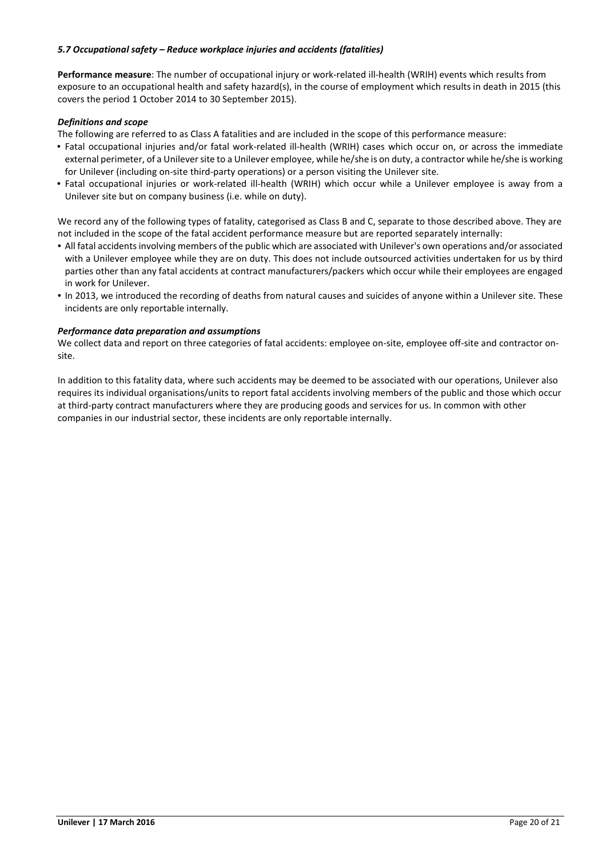# *5.7 Occupational safety – Reduce workplace injuries and accidents (fatalities)*

**Performance measure**: The number of occupational injury or work-related ill-health (WRIH) events which results from exposure to an occupational health and safety hazard(s), in the course of employment which results in death in 2015 (this covers the period 1 October 2014 to 30 September 2015).

# *Definitions and scope*

The following are referred to as Class A fatalities and are included in the scope of this performance measure:

- Fatal occupational injuries and/or fatal work-related ill-health (WRIH) cases which occur on, or across the immediate external perimeter, of a Unilever site to a Unilever employee, while he/she is on duty, a contractor while he/she is working for Unilever (including on-site third-party operations) or a person visiting the Unilever site.
- Fatal occupational injuries or work-related ill-health (WRIH) which occur while a Unilever employee is away from a Unilever site but on company business (i.e. while on duty).

We record any of the following types of fatality, categorised as Class B and C, separate to those described above. They are not included in the scope of the fatal accident performance measure but are reported separately internally:

- All fatal accidents involving members of the public which are associated with Unilever's own operations and/or associated with a Unilever employee while they are on duty. This does not include outsourced activities undertaken for us by third parties other than any fatal accidents at contract manufacturers/packers which occur while their employees are engaged in work for Unilever.
- In 2013, we introduced the recording of deaths from natural causes and suicides of anyone within a Unilever site. These incidents are only reportable internally.

### *Performance data preparation and assumptions*

 We collect data and report on three categories of fatal accidents: employee on‐site, employee off‐site and contractor on‐ site.

 at third‐party contract manufacturers where they are producing goods and services for us. In common with other In addition to this fatality data, where such accidents may be deemed to be associated with our operations, Unilever also requires its individual organisations/units to report fatal accidents involving members of the public and those which occur companies in our industrial sector, these incidents are only reportable internally.